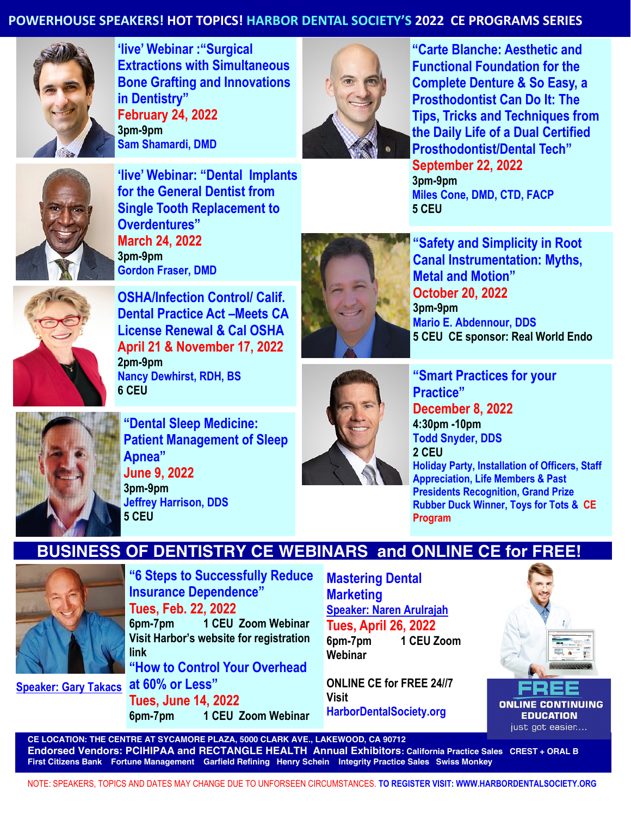## **POWERHOUSE SPEAKERS! HOT TOPICS! HARBOR DENTAL SOCIETY'S 2022 CE PROGRAMS SERIES**



**'live' Webinar :"Surgical Extractions with Simultaneous Bone Grafting and Innovations in Dentistry" February 24, 2022 3pm-9pm Sam Shamardi, DMD**



**"Carte Blanche: Aesthetic and Functional Foundation for the Complete Denture & So Easy, a Prosthodontist Can Do It: The Tips, Tricks and Techniques from the Daily Life of a Dual Certified Prosthodontist/Dental Tech" September 22, 2022 3pm-9pm Miles Cone, DMD, CTD, FACP 5 CEU** 



**'live' Webinar: "Dental Implants for the General Dentist from Single Tooth Replacement to Overdentures" March 24, 2022 3pm-9pm Gordon Fraser, DMD**



**"Safety and Simplicity in Root Canal Instrumentation: Myths, Metal and Motion" October 20, 2022 3pm-9pm Mario E. Abdennour, DDS 5 CEU CE sponsor: Real World Endo**



**OSHA/Infection Control/ Calif. Dental Practice Act –Meets CA License Renewal & Cal OSHA April 21 & November 17, 2022 2pm-9pm Nancy Dewhirst, RDH, BS 6 CEU**

**Apnea"**

**5 CEU** 

**June 9, 2022 3pm-9pm**

**Jeffrey Harrison, DDS**

**Tues, June 14, 2022**



**Mastering Dental** 

**"Smart Practices for your Practice" December 8, 2022 4:30pm -10pm Todd Snyder, DDS 2 CEU Holiday Party, Installation of Officers, Staff Appreciation, Life Members & Past Presidents Recognition, Grand Prize Rubber Duck Winner, Toys for Tots & CE Program** 

## **BUSINESS OF DENTISTRY CE WEBINARS and ONLINE CE for FREE!**



**"6 Steps to Successfully Reduce Insurance Dependence" Tues, Feb. 22, 2022 6pm-7pm 1 CEU Zoom Webinar Visit Harbor's website for registration link "How to Control Your Overhead** 

**6pm-7pm 1 CEU Zoom Webinar**

**at 60% or Less" Speaker: Gary Takacs** 

**Marketing Speaker: Naren Arulrajah Tues, April 26, 2022 6pm-7pm 1 CEU Zoom Webinar**

**ONLINE CE for FREE 24//7 Visit HarborDentalSociety.org** 



**ONLINE CONTINUING EDUCATION** just got easier....

**CE LOCATION: THE CENTRE AT SYCAMORE PLAZA, 5000 CLARK AVE., LAKEWOOD, CA 90712 Endorsed Vendors: PCIHIPAA and RECTANGLE HEALTH Annual Exhibitors: California Practice Sales CREST + ORAL B First Citizens Bank Fortune Management Garfield Refining Henry Schein Integrity Practice Sales Swiss Monkey**

NOTE: SPEAKERS, TOPICS AND DATES MAY CHANGE DUE TO UNFORSEEN CIRCUMSTANCES. **TO REGISTER VISIT: WWW.HARBORDENTALSOCIETY.ORG**

**"Dental Sleep Medicine: Patient Management of Sleep**